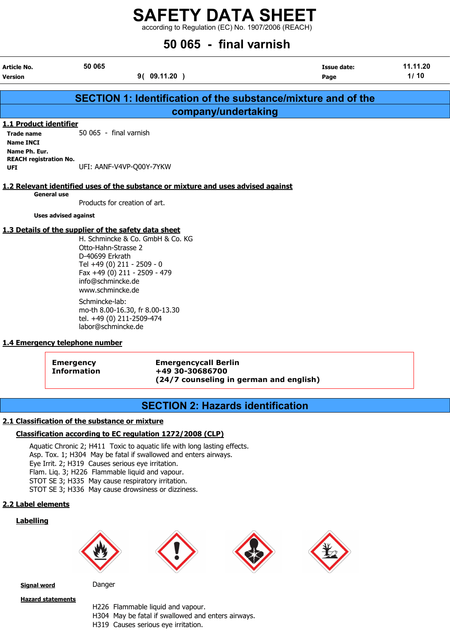according to Regulation (EC) No. 1907/2006 (REACH)

### 50 065 - final varnish

| Article No.<br>Version | 50 065<br>9( 09.11.20                                         | Issue date:<br>Page | 11.11.20<br>1/10 |
|------------------------|---------------------------------------------------------------|---------------------|------------------|
|                        | SECTION 1: Identification of the substance/mixture and of the |                     |                  |
|                        | company/undertaking                                           |                     |                  |

### 1.1 Product identifier

Trade name 50 065 - final varnish Name INCI Name Ph. Eur. REACH registration No. UFI: AANF-V4VP-Q00Y-7YKW

### 1.2 Relevant identified uses of the substance or mixture and uses advised against

General use

Products for creation of art.

Uses advised against

### 1.3 Details of the supplier of the safety data sheet

H. Schmincke & Co. GmbH & Co. KG Otto-Hahn-Strasse 2 D-40699 Erkrath Tel +49 (0) 211 - 2509 - 0 Fax +49 (0) 211 - 2509 - 479 info@schmincke.de www.schmincke.de Schmincke-lab: mo-th 8.00-16.30, fr 8.00-13.30

tel. +49 (0) 211-2509-474 labor@schmincke.de

### 1.4 Emergency telephone number

Emergency Emergencycall Berlin Information +49 30-30686700 (24/7 counseling in german and english)

### SECTION 2: Hazards identification

### 2.1 Classification of the substance or mixture

### Classification according to EC regulation 1272/2008 (CLP)

Aquatic Chronic 2; H411 Toxic to aquatic life with long lasting effects. Asp. Tox. 1; H304 May be fatal if swallowed and enters airways. Eye Irrit. 2; H319 Causes serious eye irritation. Flam. Liq. 3; H226 Flammable liquid and vapour. STOT SE 3; H335 May cause respiratory irritation. STOT SE 3; H336 May cause drowsiness or dizziness.

### 2.2 Label elements

### Labelling









Signal word Danger

**Hazard statements** 

H226 Flammable liquid and vapour. H304 May be fatal if swallowed and enters airways. H319 Causes serious eye irritation.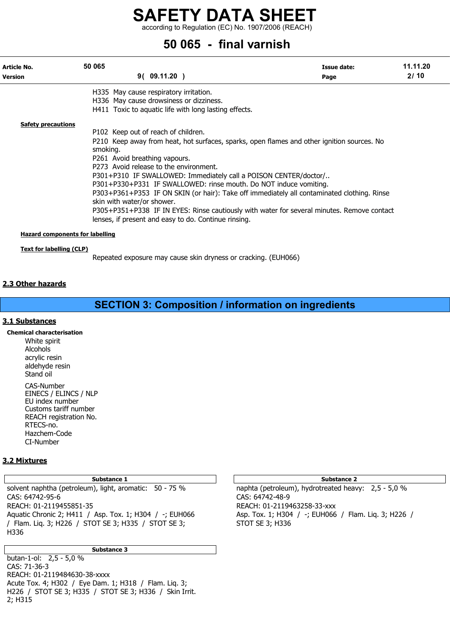according to Regulation (EC) No. 1907/2006 (REACH)

### 50 065 - final varnish

| Article No.<br><b>Version</b>          | 50 065   | 9(09.11.20)                                           |                                                                   | Issue date:<br>Page                                                                        | 11.11.20<br>2/10 |
|----------------------------------------|----------|-------------------------------------------------------|-------------------------------------------------------------------|--------------------------------------------------------------------------------------------|------------------|
|                                        |          | H335 May cause respiratory irritation.                |                                                                   |                                                                                            |                  |
|                                        |          | H336 May cause drowsiness or dizziness.               |                                                                   |                                                                                            |                  |
|                                        |          | H411 Toxic to aquatic life with long lasting effects. |                                                                   |                                                                                            |                  |
| <b>Safety precautions</b>              |          |                                                       |                                                                   |                                                                                            |                  |
|                                        |          | P102 Keep out of reach of children.                   |                                                                   |                                                                                            |                  |
|                                        | smoking. |                                                       |                                                                   | P210 Keep away from heat, hot surfaces, sparks, open flames and other ignition sources. No |                  |
|                                        |          | P261 Avoid breathing vapours.                         |                                                                   |                                                                                            |                  |
|                                        |          | P273 Avoid release to the environment.                |                                                                   |                                                                                            |                  |
|                                        |          |                                                       | P301+P310 IF SWALLOWED: Immediately call a POISON CENTER/doctor/  |                                                                                            |                  |
|                                        |          |                                                       | P301+P330+P331 IF SWALLOWED: rinse mouth. Do NOT induce vomiting. |                                                                                            |                  |
|                                        |          | skin with water/or shower.                            |                                                                   | P303+P361+P353 IF ON SKIN (or hair): Take off immediately all contaminated clothing. Rinse |                  |
|                                        |          |                                                       |                                                                   | P305+P351+P338 IF IN EYES: Rinse cautiously with water for several minutes. Remove contact |                  |
|                                        |          | lenses, if present and easy to do. Continue rinsing.  |                                                                   |                                                                                            |                  |
|                                        |          |                                                       |                                                                   |                                                                                            |                  |
| <b>Hazard components for labelling</b> |          |                                                       |                                                                   |                                                                                            |                  |
| Text for labelling (CLP)               |          |                                                       |                                                                   |                                                                                            |                  |

Repeated exposure may cause skin dryness or cracking. (EUH066)

### 2.3 Other hazards

### SECTION 3: Composition / information on ingredients

### 3.1 Substances

Chemical characterisation White spirit Alcohols acrylic resin aldehyde resin Stand oil CAS-Number EINECS / ELINCS / NLP EU index number Customs tariff number REACH registration No.

RTECS-no. Hazchem-Code CI-Number

### 3.2 Mixtures

### Substance 1 Substance 2 Substance 2 Substance 2

solvent naphtha (petroleum), light, aromatic: 50 - 75 % naphta (petroleum), hydrotreated heavy: 2,5 - 5,0 % CAS: 64742-95-6 CAS: 64742-48-9 REACH: 01-2119455851-35 REACH: 01-2119463258-33-xxx Aquatic Chronic 2; H411 / Asp. Tox. 1; H304 / -; EUH066 Asp. Tox. 1; H304 / -; EUH066 / Flam. Liq. 3; H226 / / Flam. Liq. 3; H226 / STOT SE 3; H335 / STOT SE 3; STOT SE 3; H336 H336

Substance 3

butan-1-ol: 2,5 - 5,0 % CAS: 71-36-3 REACH: 01-2119484630-38-xxxx Acute Tox. 4; H302 / Eye Dam. 1; H318 / Flam. Liq. 3; H226 / STOT SE 3; H335 / STOT SE 3; H336 / Skin Irrit. 2; H315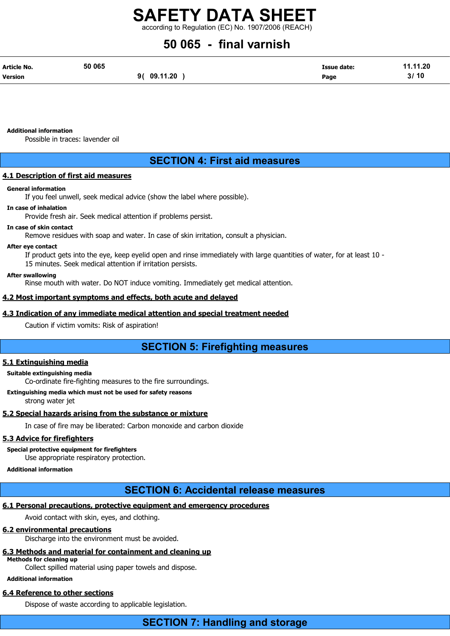according to Regulation (EC) No. 1907/2006 (REACH)

### 50 065 - final varnish

| Article No.    | 50 065 |             | <b>Issue date:</b> | 11.11.20 |
|----------------|--------|-------------|--------------------|----------|
| <b>Version</b> |        | 9( 09.11.20 | Page               | 3/10     |

Additional information

Possible in traces: lavender oil

### SECTION 4: First aid measures

### 4.1 Description of first aid measures

### General information

If you feel unwell, seek medical advice (show the label where possible).

### In case of inhalation

Provide fresh air. Seek medical attention if problems persist.

### In case of skin contact

Remove residues with soap and water. In case of skin irritation, consult a physician.

### After eye contact

If product gets into the eye, keep eyelid open and rinse immediately with large quantities of water, for at least 10 - 15 minutes. Seek medical attention if irritation persists.

### After swallowing

Rinse mouth with water. Do NOT induce vomiting. Immediately get medical attention.

### 4.2 Most important symptoms and effects, both acute and delayed

### 4.3 Indication of any immediate medical attention and special treatment needed

Caution if victim vomits: Risk of aspiration!

### SECTION 5: Firefighting measures

### 5.1 Extinguishing media

### Suitable extinguishing media

Co-ordinate fire-fighting measures to the fire surroundings.

Extinguishing media which must not be used for safety reasons

strong water jet

### 5.2 Special hazards arising from the substance or mixture

In case of fire may be liberated: Carbon monoxide and carbon dioxide

### 5.3 Advice for firefighters

Special protective equipment for firefighters Use appropriate respiratory protection.

### Additional information

### SECTION 6: Accidental release measures

### 6.1 Personal precautions, protective equipment and emergency procedures

Avoid contact with skin, eyes, and clothing.

### 6.2 environmental precautions

Discharge into the environment must be avoided.

### 6.3 Methods and material for containment and cleaning up

Methods for cleaning up

Collect spilled material using paper towels and dispose.

### Additional information

### 6.4 Reference to other sections

Dispose of waste according to applicable legislation.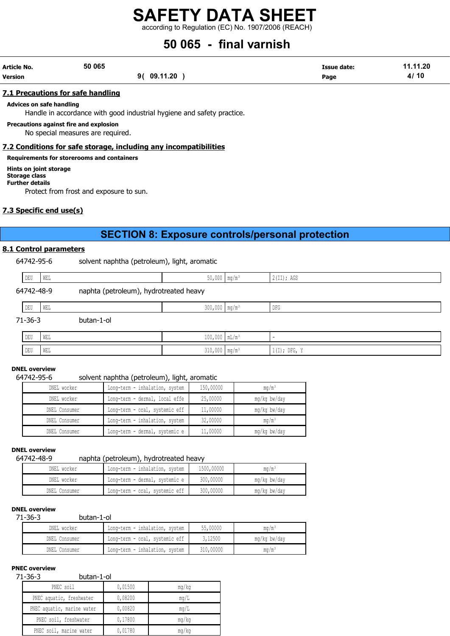according to Regulation (EC) No. 1907/2006 (REACH)

### 50 065 - final varnish

| Article No.    | 50 065 |                | Issue date: | 11.11.20 |
|----------------|--------|----------------|-------------|----------|
| <b>Version</b> |        | 09.11.20<br>91 | Page        | 10<br>4, |

### 7.1 Precautions for safe handling

Advices on safe handling

Handle in accordance with good industrial hygiene and safety practice.

Precautions against fire and explosion

No special measures are required.

### 7.2 Conditions for safe storage, including any incompatibilities

Requirements for storerooms and containers

Hints on joint storage Storage class

Further details

Protect from frost and exposure to sun.

### 7.3 Specific end use(s)

### SECTION 8: Exposure controls/personal protection

### 8.1 Control parameters

64742-95-6 solvent naphtha (petroleum), light, aromatic

| DEU        | <b>WEL</b> |                                        | $50,000$ mg/m <sup>3</sup>  | 2(II); AGS |
|------------|------------|----------------------------------------|-----------------------------|------------|
| 64742-48-9 |            | naphta (petroleum), hydrotreated heavy |                             |            |
| DEU        | WEL        |                                        | $300,000$ mg/m <sup>3</sup> | DFG        |

71-36-3 butan-1-ol

| $\mathop{\rm DEU}\nolimits$ | WEL | $\wedge$<br>⊥∪∪,∪∪∪  lll⊔/lll                |                            |                                 |
|-----------------------------|-----|----------------------------------------------|----------------------------|---------------------------------|
| DEU                         | WEL | 210<br>$\sim$ $\sim$<br>JIV / VVV   IIIV/III | $\cdots$ as where $\cdots$ | $DFG$ ,<br>77<br>1771<br>$+1+1$ |

### DNEL overview

### 64742-95-6 solvent naphtha (petroleum), light, aromatic

| DNEL worker   | Long-term - inhalation, system | 150,00000 | $mq/m^3$          |
|---------------|--------------------------------|-----------|-------------------|
| DNEL worker   | Long-term - dermal, local effe | 25,00000  | mg/kg bw/day      |
| DNEL Consumer | Long-term - oral, systemic eff | 11,00000  | mg/kg bw/day      |
| DNEL Consumer | Long-term - inhalation, system | 32,00000  | ma/m <sup>3</sup> |
| DNEL Consumer | Long-term - dermal, systemic e | 11,00000  | mg/kg bw/day      |

### DNEL overview

### 64742-48-9 naphta (petroleum), hydrotreated heavy

| DNEL worker   | Long-term - inhalation, system | 1500,00000 | mq/m <sup>3</sup> |
|---------------|--------------------------------|------------|-------------------|
| DNEL worker   | Long-term - dermal, systemic e | 300,00000  | mg/kg bw/day      |
| DNEL Consumer | Long-term - oral, systemic eff | 300,00000  | mg/kg bw/day      |

### DNEL overview

71-36-3 butan-1-ol

| DNEL worker   | Long-term - inhalation, system | 55,00000  | mq/m <sup>3</sup> |
|---------------|--------------------------------|-----------|-------------------|
| DNEL Consumer | Long-term - oral, systemic eff | 3,12500   | mg/kg bw/day      |
| DNEL Consumer | Long-term - inhalation, system | 310,00000 | ma/m <sup>3</sup> |

### PNEC overview

### 71-36-3 butan-1-ol

| . JU J<br>DULUII 1 VI      |         |             |
|----------------------------|---------|-------------|
| PNEC soil                  | 0,01500 | mq/kg       |
| PNEC aquatic, freshwater   | 0,08200 | mq/L        |
| PNEC aquatic, marine water | 0,00820 | $m\alpha/L$ |
| PNEC soil, freshwater      | 0,17800 | mq/kg       |
| PNEC soil, marine water    | 0,01780 | mg/kg       |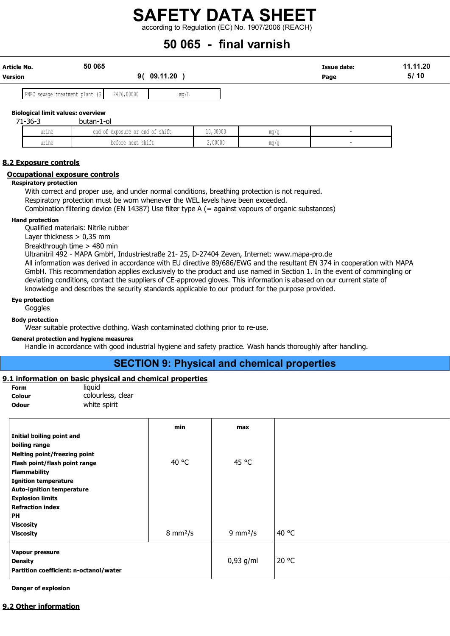according to Regulation (EC) No. 1907/2006 (REACH)

### 50 065 - final varnish

| Article No. | 50 065                          |            |          | Issue date: | 11.11.20 |
|-------------|---------------------------------|------------|----------|-------------|----------|
| Version     |                                 |            | 09.11.20 | Page        | 5/10     |
|             | PNEC sewage treatment plant (S) | 2476,00000 | mq/L     |             |          |

#### Biological limit values: overview 71-36-3 butan-1-ol

| ----  |                                    |          |                  |  |
|-------|------------------------------------|----------|------------------|--|
| urine | end of<br>exposure or end of shift | 10,00000 | $m \sim$<br>11.V |  |
| urine | $\sim$<br>before next shift        | 2,00000  | $m \sim$<br>u    |  |

### 8.2 Exposure controls

### Occupational exposure controls

### Respiratory protection

With correct and proper use, and under normal conditions, breathing protection is not required. Respiratory protection must be worn whenever the WEL levels have been exceeded. Combination filtering device (EN 14387) Use filter type A (= against vapours of organic substances)

#### Hand protection

Qualified materials: Nitrile rubber

Layer thickness > 0,35 mm

Breakthrough time > 480 min

Ultranitril 492 - MAPA GmbH, Industriestraße 21- 25, D-27404 Zeven, Internet: www.mapa-pro.de

All information was derived in accordance with EU directive 89/686/EWG and the resultant EN 374 in cooperation with MAPA GmbH. This recommendation applies exclusively to the product and use named in Section 1. In the event of commingling or deviating conditions, contact the suppliers of CE-approved gloves. This information is abased on our current state of knowledge and describes the security standards applicable to our product for the purpose provided.

### Eye protection

**Goggles** 

### Body protection

Wear suitable protective clothing. Wash contaminated clothing prior to re-use.

### General protection and hygiene measures

Handle in accordance with good industrial hygiene and safety practice. Wash hands thoroughly after handling.

### SECTION 9: Physical and chemical properties

### 9.1 information on basic physical and chemical properties

| Form         | liauid            |
|--------------|-------------------|
| Colour       | colourless, clear |
| <b>Odour</b> | white spirit      |

|                                        | min                       | max                       |       |
|----------------------------------------|---------------------------|---------------------------|-------|
| Initial boiling point and              |                           |                           |       |
| boiling range                          |                           |                           |       |
| <b>Melting point/freezing point</b>    |                           |                           |       |
| Flash point/flash point range          | 40 °C                     | 45 °C                     |       |
| <b>Flammability</b>                    |                           |                           |       |
| <b>Ignition temperature</b>            |                           |                           |       |
| <b>Auto-ignition temperature</b>       |                           |                           |       |
| <b>Explosion limits</b>                |                           |                           |       |
| <b>Refraction index</b>                |                           |                           |       |
| <b>PH</b>                              |                           |                           |       |
| <b>Viscosity</b>                       |                           |                           |       |
| <b>Viscosity</b>                       | $8 \text{ mm}^2/\text{s}$ | $9 \text{ mm}^2/\text{s}$ | 40 °C |
| Vapour pressure                        |                           |                           |       |
| <b>Density</b>                         |                           | $0,93$ g/ml               | 20 °C |
| Partition coefficient: n-octanol/water |                           |                           |       |

Danger of explosion

### 9.2 Other information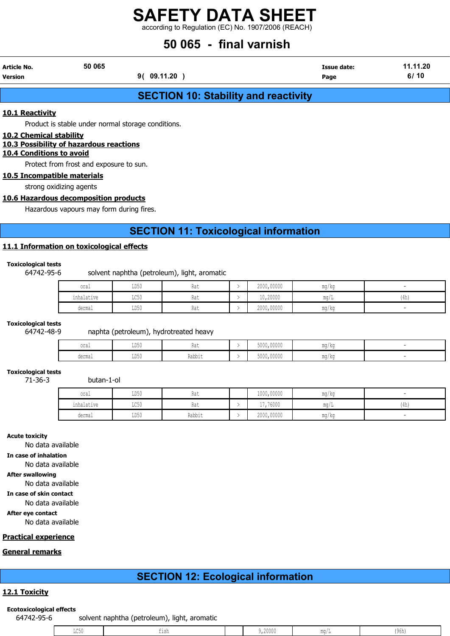according to Regulation (EC) No. 1907/2006 (REACH)

### 50 065 - final varnish

| <b>Article No.</b> | 50 065         | <b>Issue date:</b> | 11.11.20 |
|--------------------|----------------|--------------------|----------|
| <b>Version</b>     | 09.11.20<br>91 | Page               | 6/10     |

### SECTION 10: Stability and reactivity

### 10.1 Reactivity

Product is stable under normal storage conditions.

### 10.2 Chemical stability

### 10.3 Possibility of hazardous reactions

### 10.4 Conditions to avoid

Protect from frost and exposure to sun.

### 10.5 Incompatible materials

strong oxidizing agents

### 10.6 Hazardous decomposition products

Hazardous vapours may form during fires.

### SECTION 11: Toxicological information

### 11.1 Information on toxicological effects

### Toxicological tests

64742-95-6 solvent naphtha (petroleum), light, aromatic

| oral            | LD50                       | $R2$ +<br>11 U U | 2000,00000 | $\overline{\phantom{a}}$<br>mg/kg |      |
|-----------------|----------------------------|------------------|------------|-----------------------------------|------|
| .<br>inhalative | $T \cap E \cap$<br>– ⊔∪ J∪ | $R2$ +<br>114 L  | 10,20000   | $\text{max}$                      | (4h) |
| dermal          | LD50                       | Rու+<br>11 U U   | 2000,00000 | mg/kg                             |      |

### Toxicological tests

### 64742-48-9 naphta (petroleum), hydrotreated heavy

| oral             | LD50 | 114               | 5000,00000 | <b>MA CHA</b><br>111.U / 17.U |  |
|------------------|------|-------------------|------------|-------------------------------|--|
| dorme<br>AATIINT | LD50 | じっトト<br>T/ann T r | 5000,00000 | <b>MA CH</b><br>1114 / MI     |  |

### Toxicological tests

71-36-3 butan-1-ol

| oral       | LD50         | 11 U U | 1000,00000 | mg/kg                  |      |
|------------|--------------|--------|------------|------------------------|------|
| inhalative | TOE0<br>せいりい | 11 U U | 17,76000   | $m \sim$<br>111.U / 11 | (4h) |
| dermal     | LD50         | Rabbit | 2000,00000 | ma/ka                  |      |

#### Acute toxicity

No data available

In case of inhalation

No data available

After swallowing

No data available

### In case of skin contact

No data available

After eye contact

No data available

### Practical experience

### General remarks

### SECTION 12: Ecological information

### 12.1 Toxicity

### Ecotoxicological effects

64742-95-6 solvent naphtha (petroleum), light, aromatic

| . |      |     |                                                                                 |              |        |  |
|---|------|-----|---------------------------------------------------------------------------------|--------------|--------|--|
|   | .    |     | 20000                                                                           | <b>MA OH</b> | чh     |  |
|   | ╜◡◡Ⴎ | --- | the contract of the contract of the contract of the contract of the contract of |              | 17 A.T |  |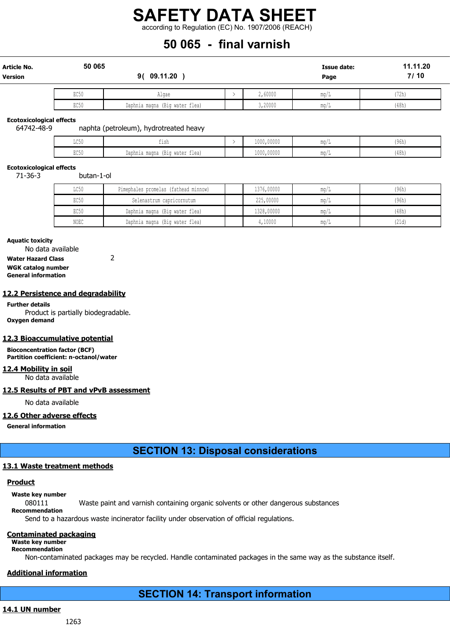according to Regulation (EC) No. 1907/2006 (REACH)

### 50 065 - final varnish

| <b>Article No.</b><br><b>Version</b> | 50 065 | 9( 09.11.20                    |  | 11.11.20<br><b>Issue date:</b><br>7/10<br>Page |      |       |
|--------------------------------------|--------|--------------------------------|--|------------------------------------------------|------|-------|
|                                      | EC50   | Algae                          |  | 2,60000                                        | mq/L | '72h) |
|                                      | EC50   | Daphnia magna (Big water flea) |  | 3,20000                                        | mq/L | (48h) |

Ecotoxicological effects

64742-48-9 naphta (petroleum), hydrotreated heavy

| $-0.7$<br>コンマク       | ---                               | 1000,00000 |             | (96h) |
|----------------------|-----------------------------------|------------|-------------|-------|
| $H \wedge T$<br>コマンク | (Big water flea)<br>Daphnia magna | 1000,00000 | <b>ALLM</b> | (48h) |

### Ecotoxicological effects

71-36-3 butan-1-ol

| LC50 | Pimephales promelas (fathead minnow) | 1376,00000 | mq/l | (96h) |
|------|--------------------------------------|------------|------|-------|
| EC50 | Selenastrum capricornutum            | 225,00000  | mq/l | (96h) |
| EC50 | Daphnia magna (Big water flea)       | 1328,00000 | mq/l | (48h) |
| NOEC | Daphnia magna (Big water flea)       | 4,10000    | ma/. | (21d) |

Aquatic toxicity

No data available

Water Hazard Class 2

WGK catalog number General information

### 12.2 Persistence and degradability

Further details Product is partially biodegradable. Oxygen demand

### 12.3 Bioaccumulative potential

Bioconcentration factor (BCF) Partition coefficient: n-octanol/water

12.4 Mobility in soil

No data available

### 12.5 Results of PBT and vPvB assessment

No data available

### 12.6 Other adverse effects

General information

### SECTION 13: Disposal considerations

### 13.1 Waste treatment methods

### **Product**

Waste key number

080111 Waste paint and varnish containing organic solvents or other dangerous substances

Recommendation

Send to a hazardous waste incinerator facility under observation of official regulations.

### Contaminated packaging

### Waste key number

Recommendation

Non-contaminated packages may be recycled. Handle contaminated packages in the same way as the substance itself.

### Additional information

SECTION 14: Transport information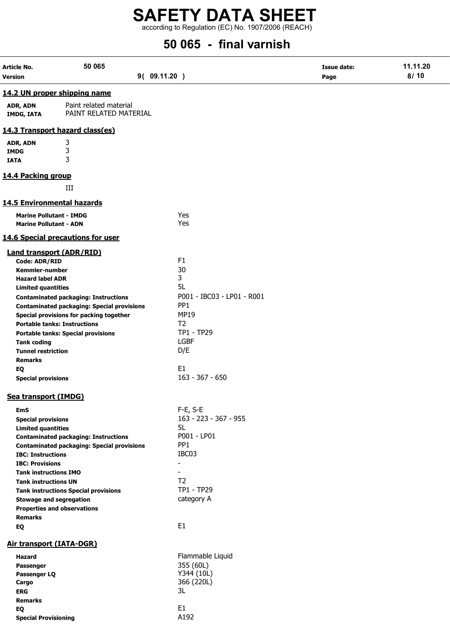according to Regulation (EC) No. 1907/2006 (REACH)

## 50 065 - final varnish

| Article No.                       | 50 065                                            |                            | <b>Issue date:</b> | 11.11.20 |
|-----------------------------------|---------------------------------------------------|----------------------------|--------------------|----------|
| <b>Version</b>                    |                                                   | 9(09.11.20)                | Page               | 8/10     |
|                                   | 14.2 UN proper shipping name                      |                            |                    |          |
|                                   |                                                   |                            |                    |          |
| ADR, ADN<br><b>IMDG, IATA</b>     | Paint related material<br>PAINT RELATED MATERIAL  |                            |                    |          |
|                                   | 14.3 Transport hazard class(es)                   |                            |                    |          |
| ADR, ADN                          | 3                                                 |                            |                    |          |
| <b>IMDG</b>                       | 3                                                 |                            |                    |          |
| <b>IATA</b>                       | 3                                                 |                            |                    |          |
| 14.4 Packing group                |                                                   |                            |                    |          |
|                                   | III                                               |                            |                    |          |
| <b>14.5 Environmental hazards</b> |                                                   |                            |                    |          |
| <b>Marine Pollutant - IMDG</b>    |                                                   | Yes                        |                    |          |
| <b>Marine Pollutant - ADN</b>     |                                                   | Yes                        |                    |          |
|                                   | 14.6 Special precautions for user                 |                            |                    |          |
| <b>Land transport (ADR/RID)</b>   |                                                   |                            |                    |          |
| Code: ADR/RID                     |                                                   | F <sub>1</sub>             |                    |          |
| <b>Kemmler-number</b>             |                                                   | 30                         |                    |          |
| <b>Hazard label ADR</b>           |                                                   | 3<br>5L                    |                    |          |
| <b>Limited quantities</b>         | <b>Contaminated packaging: Instructions</b>       | P001 - IBC03 - LP01 - R001 |                    |          |
|                                   | <b>Contaminated packaging: Special provisions</b> | PP <sub>1</sub>            |                    |          |
|                                   | Special provisions for packing together           | <b>MP19</b>                |                    |          |
|                                   | <b>Portable tanks: Instructions</b>               | T <sub>2</sub>             |                    |          |
|                                   | <b>Portable tanks: Special provisions</b>         | TP1 - TP29                 |                    |          |
| <b>Tank coding</b>                |                                                   | <b>LGBF</b>                |                    |          |
| <b>Tunnel restriction</b>         |                                                   | D/E                        |                    |          |
| <b>Remarks</b>                    |                                                   | E <sub>1</sub>             |                    |          |
| EQ<br><b>Special provisions</b>   |                                                   | $163 - 367 - 650$          |                    |          |
|                                   |                                                   |                            |                    |          |
| Sea transport (IMDG)              |                                                   |                            |                    |          |
| <b>EmS</b>                        |                                                   | F-E, S-E                   |                    |          |
| <b>Special provisions</b>         |                                                   | 163 - 223 - 367 - 955      |                    |          |
| <b>Limited quantities</b>         | <b>Contaminated packaging: Instructions</b>       | 5L<br>P001 - LP01          |                    |          |
|                                   | <b>Contaminated packaging: Special provisions</b> | PP <sub>1</sub>            |                    |          |
| <b>IBC: Instructions</b>          |                                                   | IBC03                      |                    |          |
| <b>IBC: Provisions</b>            |                                                   | $\blacksquare$             |                    |          |
| <b>Tank instructions IMO</b>      |                                                   | $\blacksquare$             |                    |          |
| <b>Tank instructions UN</b>       |                                                   | T <sub>2</sub>             |                    |          |
|                                   | <b>Tank instructions Special provisions</b>       | TP1 - TP29                 |                    |          |
| <b>Stowage and segregation</b>    | <b>Properties and observations</b>                | category A                 |                    |          |
| <b>Remarks</b>                    |                                                   |                            |                    |          |
| EQ                                |                                                   | E <sub>1</sub>             |                    |          |
| Air transport (IATA-DGR)          |                                                   |                            |                    |          |
| <b>Hazard</b>                     |                                                   | Flammable Liquid           |                    |          |
| Passenger                         |                                                   | 355 (60L)                  |                    |          |
| Passenger LQ                      |                                                   | Y344 (10L)                 |                    |          |
| Cargo                             |                                                   | 366 (220L)                 |                    |          |
| <b>ERG</b>                        |                                                   | 3L                         |                    |          |
| <b>Remarks</b><br>EQ              |                                                   | E <sub>1</sub>             |                    |          |
| <b>Special Provisioning</b>       |                                                   | A192                       |                    |          |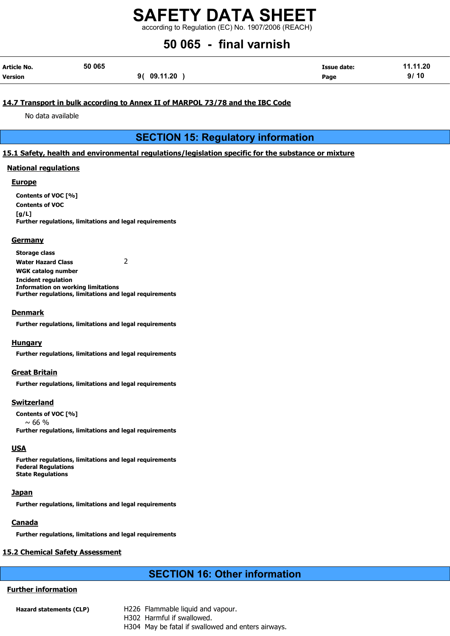according to Regulation (EC) No. 1907/2006 (REACH)

### 50 065 - final varnish

| Article No.    | 50 065 |             | <b>Issue date:</b> | 11.11.20 |
|----------------|--------|-------------|--------------------|----------|
| <b>Version</b> |        | 9( 09.11.20 | Page               | 9/10     |

### 14.7 Transport in bulk according to Annex II of MARPOL 73/78 and the IBC Code

No data available

### SECTION 15: Regulatory information

### 15.1 Safety, health and environmental regulations/legislation specific for the substance or mixture

### National regulations

### Europe

Contents of VOC [%] Contents of VOC  $[a/L]$ Further regulations, limitations and legal requirements

### **Germany**

Storage class Water Hazard Class 2 WGK catalog number Incident regulation Information on working limitations Further regulations, limitations and legal requirements

### Denmark

Further regulations, limitations and legal requirements

### **Hungary**

Further regulations, limitations and legal requirements

### Great Britain

Further regulations, limitations and legal requirements

### Switzerland

Contents of VOC [%]  $~\sim 66$  % Further regulations, limitations and legal requirements

### **USA**

Further regulations, limitations and legal requirements Federal Regulations State Regulations

### **Japan**

Further regulations, limitations and legal requirements

### **Canada**

Further regulations, limitations and legal requirements

### 15.2 Chemical Safety Assessment

### SECTION 16: Other information

### Further information

- Hazard statements (CLP) H226 Flammable liquid and vapour. H302 Harmful if swallowed.
	- H304 May be fatal if swallowed and enters airways.